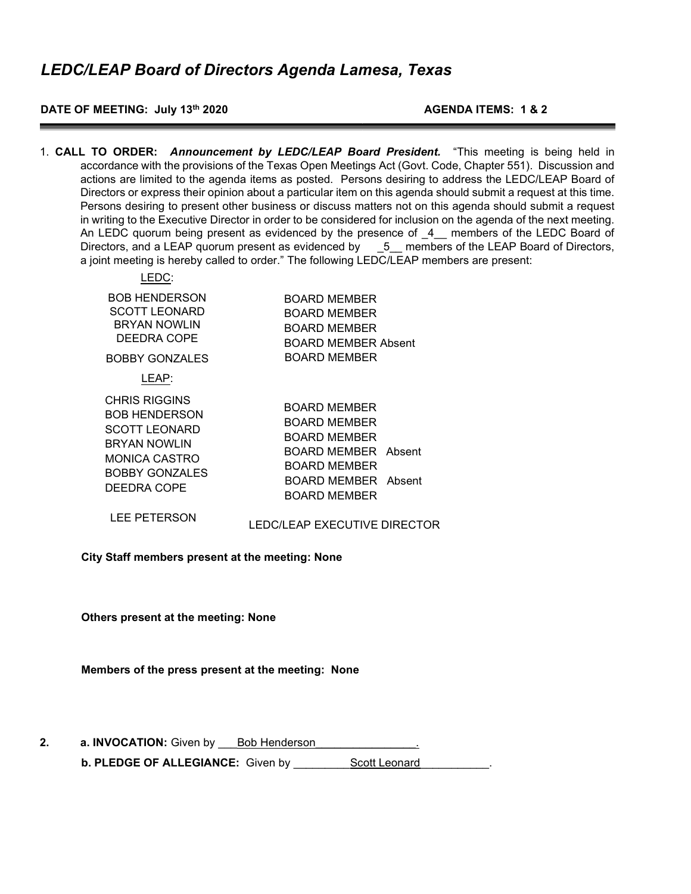### DATE OF MEETING: July 13<sup>th</sup> 2020 **AGENDA ITEMS: 1 & 2**

1. CALL TO ORDER: Announcement by LEDC/LEAP Board President. "This meeting is being held in accordance with the provisions of the Texas Open Meetings Act (Govt. Code, Chapter 551). Discussion and actions are limited to the agenda items as posted. Persons desiring to address the LEDC/LEAP Board of Directors or express their opinion about a particular item on this agenda should submit a request at this time. Persons desiring to present other business or discuss matters not on this agenda should submit a request in writing to the Executive Director in order to be considered for inclusion on the agenda of the next meeting. An LEDC quorum being present as evidenced by the presence of \_4\_\_ members of the LEDC Board of Directors, and a LEAP quorum present as evidenced by  $\qquad 5$  members of the LEAP Board of Directors, a joint meeting is hereby called to order." The following LEDC/LEAP members are present:

| EDC:                                                                                                                                                 |                                                                                                                                   |
|------------------------------------------------------------------------------------------------------------------------------------------------------|-----------------------------------------------------------------------------------------------------------------------------------|
| <b>BOB HENDERSON</b><br><b>SCOTT LEONARD</b><br><b>BRYAN NOWLIN</b><br><b>DEEDRA COPE</b>                                                            | <b>BOARD MEMBER</b><br>BOARD MEMBER<br><b>BOARD MEMBER</b><br>BOARD MEMBER Absent                                                 |
| BOBBY GONZALES                                                                                                                                       | BOARD MEMBER                                                                                                                      |
| LEAP:                                                                                                                                                |                                                                                                                                   |
| <b>CHRIS RIGGINS</b><br><b>BOB HENDERSON</b><br><b>SCOTT LEONARD</b><br><b>BRYAN NOWLIN</b><br>MONICA CASTRO<br><b>BOBBY GONZALES</b><br>DEEDRA COPE | BOARD MEMBER<br><b>BOARD MEMBER</b><br>BOARD MEMBER<br>BOARD MEMBER Absent<br>BOARD MEMBER<br>BOARD MEMBER Absent<br>BOARD MEMBER |
|                                                                                                                                                      |                                                                                                                                   |

LEE PETERSON LEDC/LEAP EXECUTIVE DIRECTOR

City Staff members present at the meeting: None

Others present at the meeting: None

Members of the press present at the meeting: None

2. a. INVOCATION: Given by Bob Henderson b. PLEDGE OF ALLEGIANCE: Given by Scott Leonard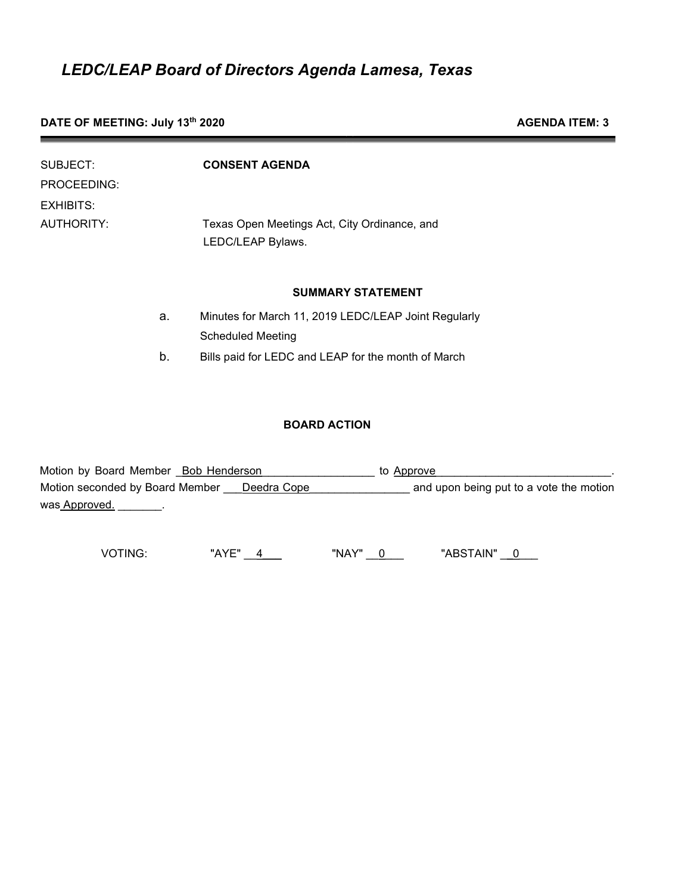## DATE OF MEETING: July 13<sup>th</sup> 2020 **AGENDA ITEM: 3**

| SUBJECT:    |   | <b>CONSENT AGENDA</b>                                             |
|-------------|---|-------------------------------------------------------------------|
| PROCEEDING: |   |                                                                   |
| EXHIBITS:   |   |                                                                   |
| AUTHORITY:  |   | Texas Open Meetings Act, City Ordinance, and<br>LEDC/LEAP Bylaws. |
|             |   | <b>SUMMARY STATEMENT</b>                                          |
|             | ີ | Minutes for March 11, 2019 LEDC/LEAP, Joint Requierly             |

- a. Minutes for March 11, 2019 LEDC/LEAP Joint Regularly Scheduled Meeting
- b. Bills paid for LEDC and LEAP for the month of March

## BOARD ACTION

| Motion by Board Member Bob Henderson           | to Approve                              |
|------------------------------------------------|-----------------------------------------|
| Motion seconded by Board Member<br>Deedra Cope | and upon being put to a vote the motion |
| was Approved.                                  |                                         |

VOTING: "AYE" 4 "NAY" 0 "ABSTAIN" 0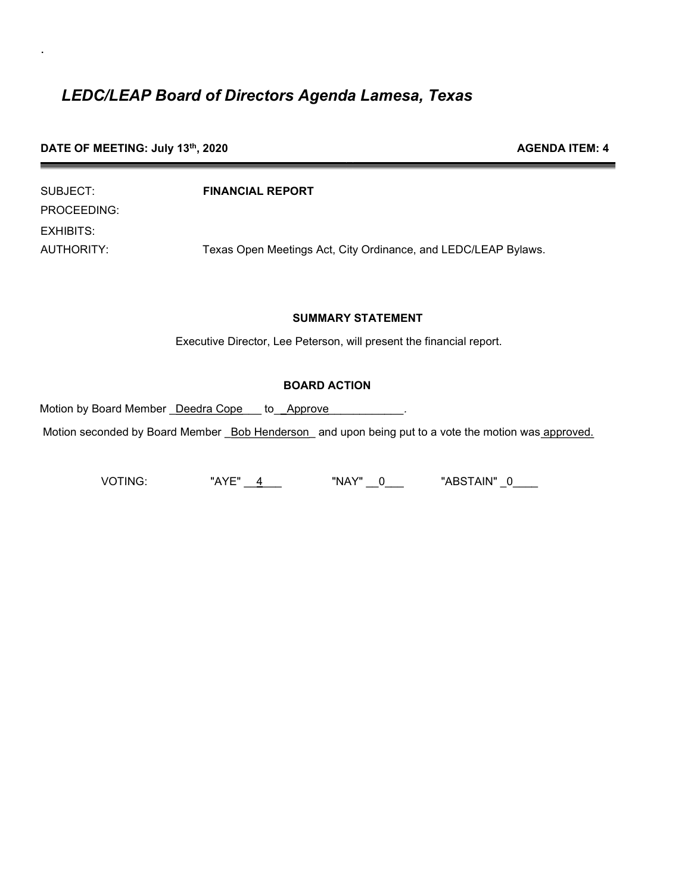|  | DATE OF MEETING: July 13th, 2020 |  |  |
|--|----------------------------------|--|--|
|--|----------------------------------|--|--|

.

| SUBJECT:    | <b>FINANCIAL REPORT</b>                                        |
|-------------|----------------------------------------------------------------|
| PROCEEDING: |                                                                |
| EXHIBITS:   |                                                                |
| AUTHORITY:  | Texas Open Meetings Act, City Ordinance, and LEDC/LEAP Bylaws. |

#### SUMMARY STATEMENT

**AGENDA ITEM: 4** 

Executive Director, Lee Peterson, will present the financial report.

### BOARD ACTION

Motion by Board Member \_Deedra Cope \_\_ to \_\_Approve \_\_\_\_\_\_\_\_\_\_\_\_.

Motion seconded by Board Member \_Bob Henderson\_ and upon being put to a vote the motion was approved.

VOTING: "AYE" \_\_4\_\_\_ "NAY" \_\_0\_\_\_ "ABSTAIN" \_0\_\_\_\_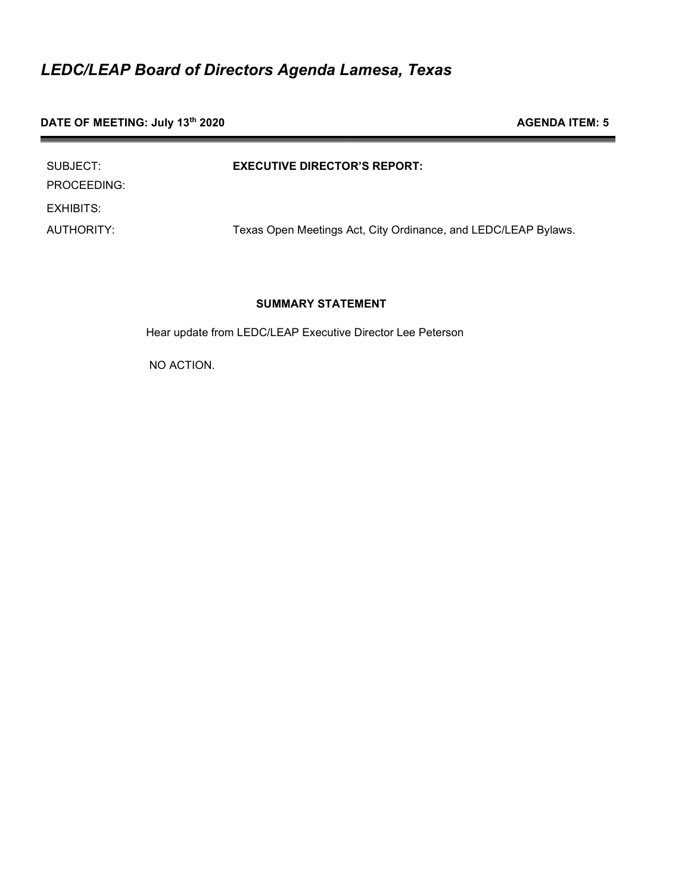## DATE OF MEETING: July 13<sup>th</sup> 2020 **AGENDA ITEM: 5** AGENDA ITEM: 5

| SUBJECT:<br>PROCEEDING: | <b>EXECUTIVE DIRECTOR'S REPORT:</b>                            |
|-------------------------|----------------------------------------------------------------|
| EXHIBITS:               |                                                                |
| AUTHORITY:              | Texas Open Meetings Act, City Ordinance, and LEDC/LEAP Bylaws. |

## SUMMARY STATEMENT

Hear update from LEDC/LEAP Executive Director Lee Peterson

NO ACTION.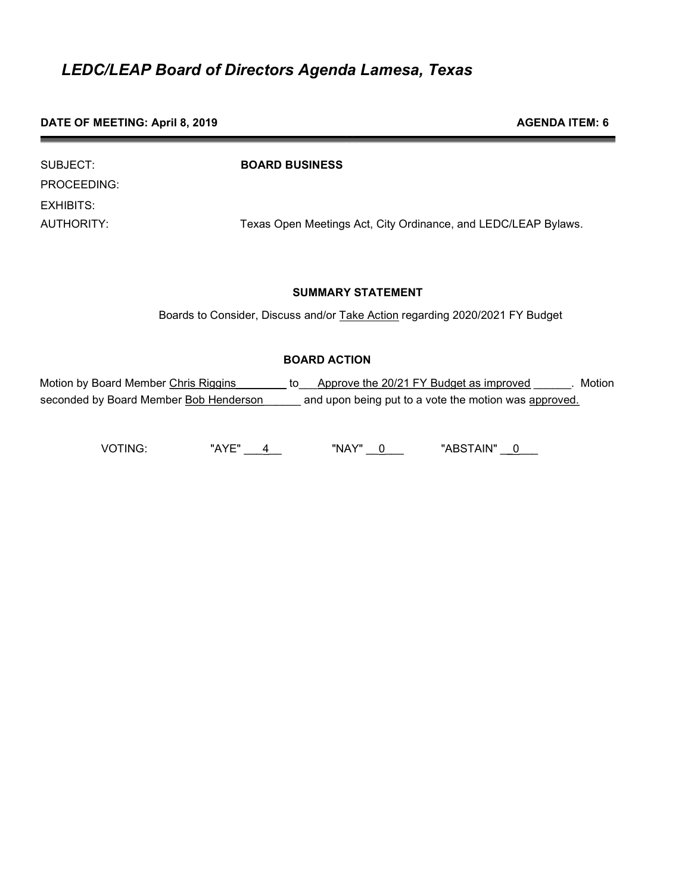#### DATE OF MEETING: April 8, 2019 **AGENDA ITEM: 6** AGENDA ITEM: 6

| SUBJECT:    | <b>BOARD BUSINESS</b>                                          |
|-------------|----------------------------------------------------------------|
| PROCEEDING: |                                                                |
| EXHIBITS:   |                                                                |
| AUTHORITY:  | Texas Open Meetings Act, City Ordinance, and LEDC/LEAP Bylaws. |

### SUMMARY STATEMENT

Boards to Consider, Discuss and/or Take Action regarding 2020/2021 FY Budget

## BOARD ACTION

Motion by Board Member Chris Riggins \_\_\_\_\_\_\_\_ to \_\_\_Approve the 20/21 FY Budget as improved \_\_\_\_\_\_. Motion seconded by Board Member Bob Henderson \_\_\_\_\_\_ and upon being put to a vote the motion was approved.

VOTING: "AYE" \_\_\_4\_\_ "NAY" \_\_0\_\_\_ "ABSTAIN" \_\_0\_\_\_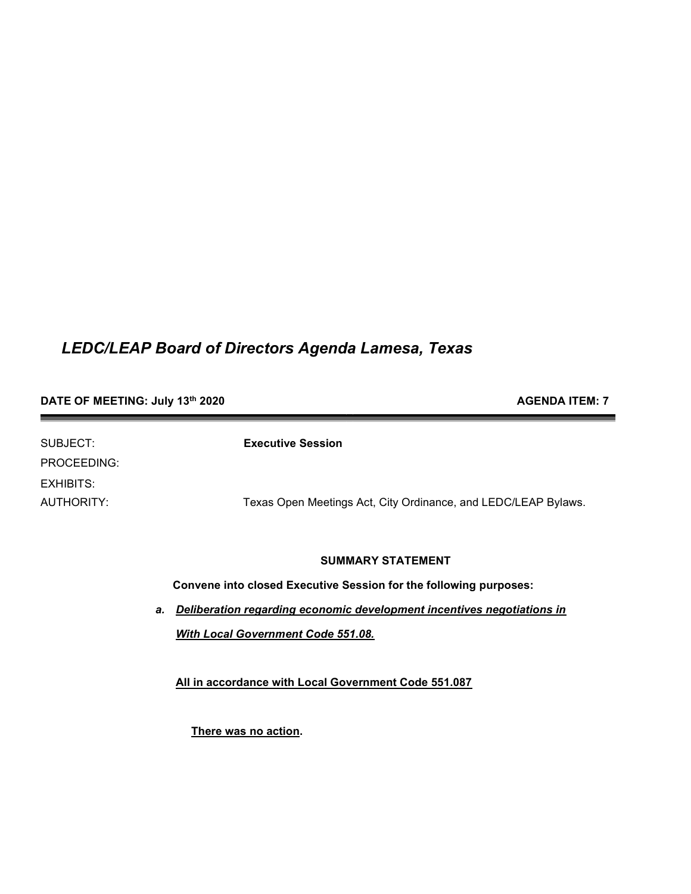## DATE OF MEETING: July 13<sup>th</sup> 2020 **AGENDA ITEM: 7** AGENDA ITEM: 7

| SUBJECT:    | <b>Executive Session</b>                                       |
|-------------|----------------------------------------------------------------|
| PROCEEDING: |                                                                |
| EXHIBITS:   |                                                                |
| AUTHORITY:  | Texas Open Meetings Act, City Ordinance, and LEDC/LEAP Bylaws. |

#### SUMMARY STATEMENT

Convene into closed Executive Session for the following purposes:

a. Deliberation regarding economic development incentives negotiations in With Local Government Code 551.08.

All in accordance with Local Government Code 551.087

There was no action.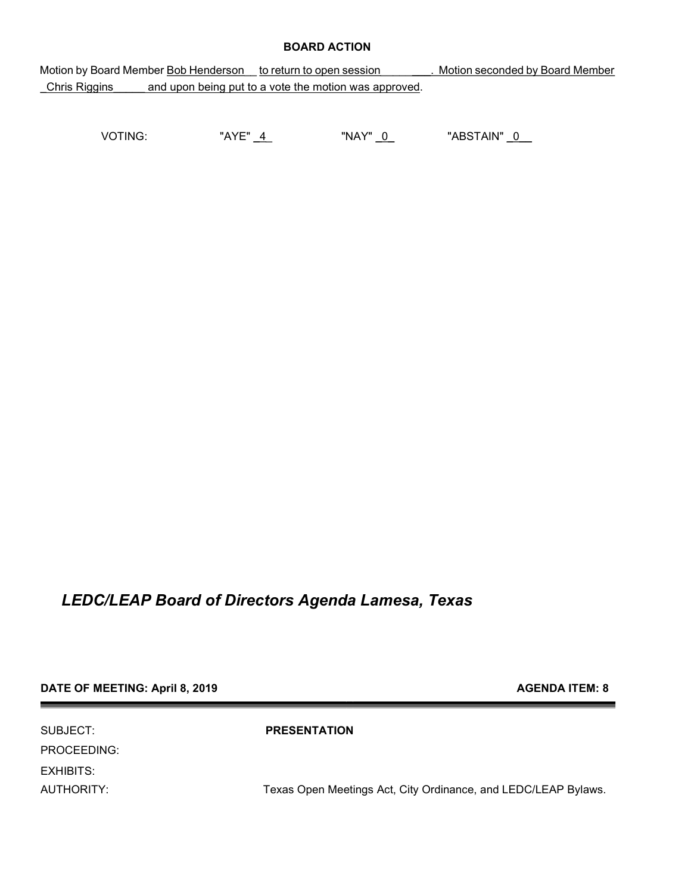#### BOARD ACTION

Motion by Board Member Bob Henderson to return to open session Motion seconded by Board Member Chris Riggins and upon being put to a vote the motion was approved.

VOTING: "AYE" 4 "NAY" 0 "ABSTAIN" 0

## LEDC/LEAP Board of Directors Agenda Lamesa, Texas

### DATE OF MEETING: April 8, 2019 **AGENDA ITEM: 8** AGENDA ITEM: 8

SUBJECT: PRESENTATION PROCEEDING: EXHIBITS:

AUTHORITY: Texas Open Meetings Act, City Ordinance, and LEDC/LEAP Bylaws.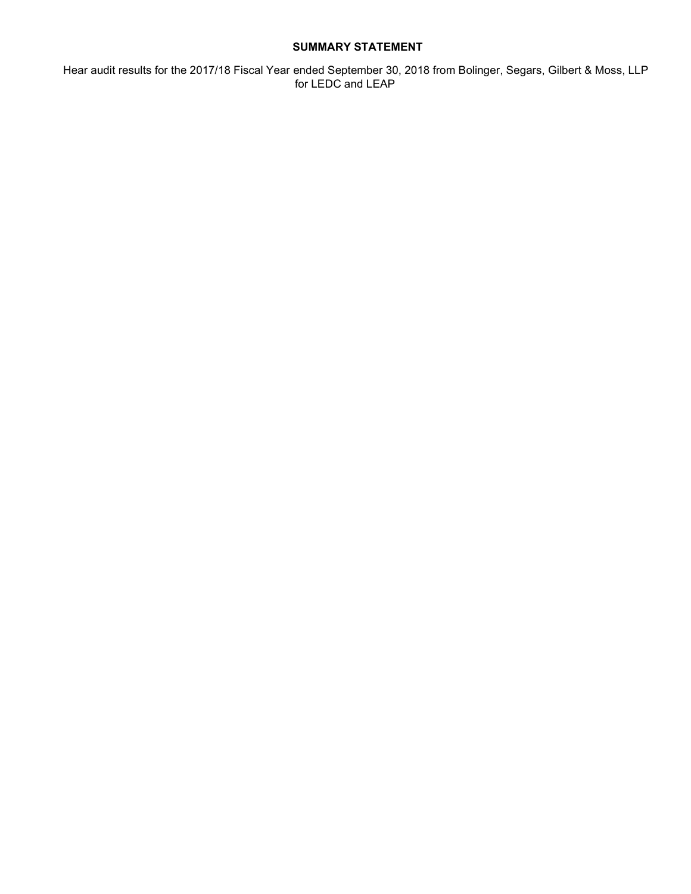### SUMMARY STATEMENT

 Hear audit results for the 2017/18 Fiscal Year ended September 30, 2018 from Bolinger, Segars, Gilbert & Moss, LLP for LEDC and LEAP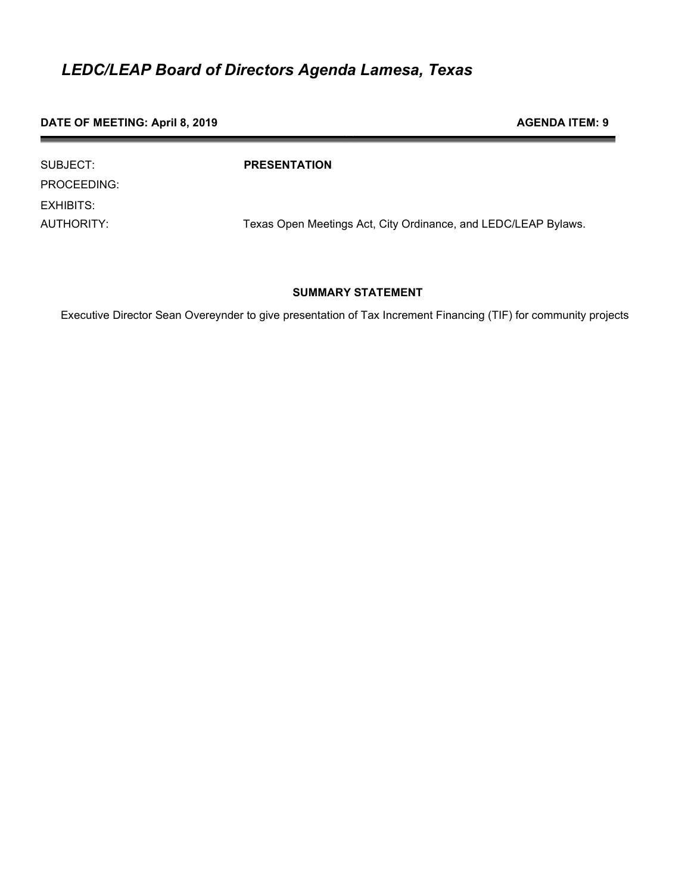#### DATE OF MEETING: April 8, 2019 **AGENDA ITEM: 9** AGENDA ITEM: 9

| SUBJECT:    | <b>PRESENTATION</b>                                            |
|-------------|----------------------------------------------------------------|
| PROCEEDING: |                                                                |
| EXHIBITS:   |                                                                |
| AUTHORITY:  | Texas Open Meetings Act, City Ordinance, and LEDC/LEAP Bylaws. |

### SUMMARY STATEMENT

Executive Director Sean Overeynder to give presentation of Tax Increment Financing (TIF) for community projects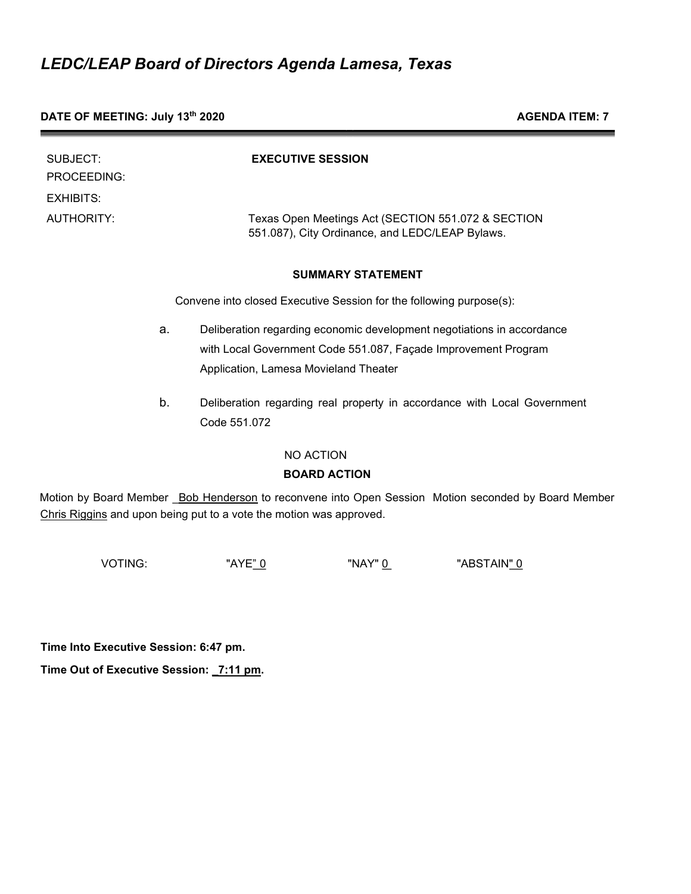| DATE OF MEETING: July 13th 2020 |  |
|---------------------------------|--|
|---------------------------------|--|

**AGENDA ITEM: 7** 

| SUBJECT:<br>PROCEEDING:        |    | <b>EXECUTIVE SESSION</b>                                                 |
|--------------------------------|----|--------------------------------------------------------------------------|
| EXHIBITS:<br><b>AUTHORITY:</b> |    | Texas Open Meetings Act (SECTION 551.072 & SECTION                       |
|                                |    | 551.087), City Ordinance, and LEDC/LEAP Bylaws.                          |
|                                |    | <b>SUMMARY STATEMENT</b>                                                 |
|                                |    | Convene into closed Executive Session for the following purpose(s):      |
|                                | a. | Deliberation regarding economic development negotiations in accordance   |
|                                |    | with Local Government Code 551.087, Façade Improvement Program           |
|                                |    | Application, Lamesa Movieland Theater                                    |
|                                | b. | Deliberation regarding real property in accordance with Local Government |
|                                |    | Code 551.072                                                             |
|                                |    | NO ACTION                                                                |
|                                |    | <b>BOARD ACTION</b>                                                      |

Motion by Board Member \_Bob Henderson to reconvene into Open Session Motion seconded by Board Member Chris Riggins and upon being put to a vote the motion was approved.

VOTING: "AYE<u>" 0</u> "NAY" <u>0</u> "ABSTAIN<u>" 0</u>

Time Into Executive Session: 6:47 pm.

Time Out of Executive Session: \_7:11 pm.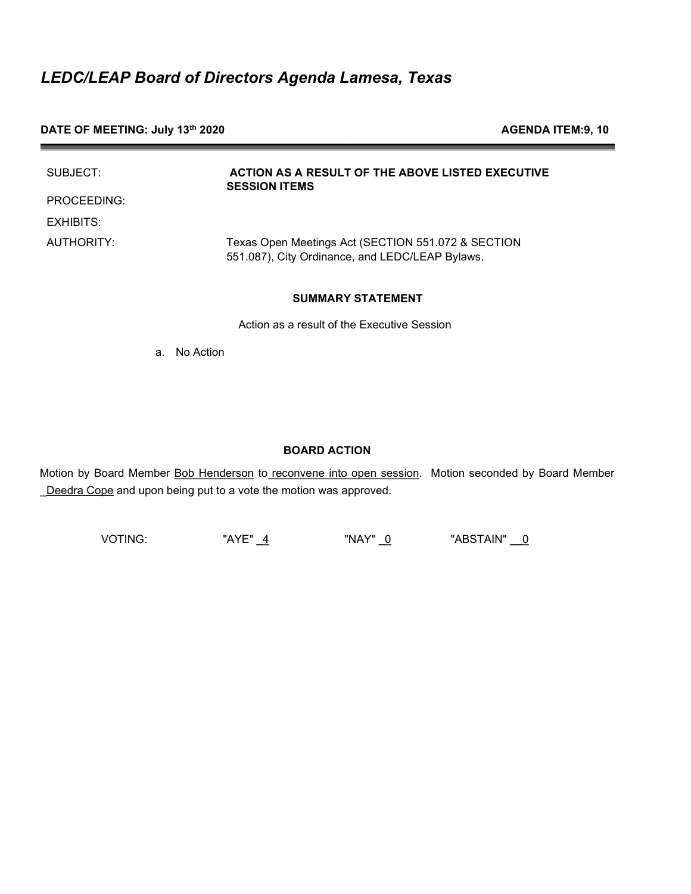### DATE OF MEETING: July 13<sup>th</sup> 2020 **AGENDA ITEM:9, 10** AGENDA ITEM:9, 10

| SUBJECT:    | ACTION AS A RESULT OF THE ABOVE LISTED EXECUTIVE<br><b>SESSION ITEMS</b>                              |
|-------------|-------------------------------------------------------------------------------------------------------|
| PROCEEDING: |                                                                                                       |
| EXHIBITS:   |                                                                                                       |
| AUTHORITY:  | Texas Open Meetings Act (SECTION 551.072 & SECTION<br>551.087), City Ordinance, and LEDC/LEAP Bylaws. |

#### SUMMARY STATEMENT

Action as a result of the Executive Session

a. No Action

#### BOARD ACTION

Motion by Board Member Bob Henderson to reconvene into open session. Motion seconded by Board Member Deedra Cope and upon being put to a vote the motion was approved.

VOTING: "AYE" \_4 "NAY" \_0 "ABSTAIN" \_\_0